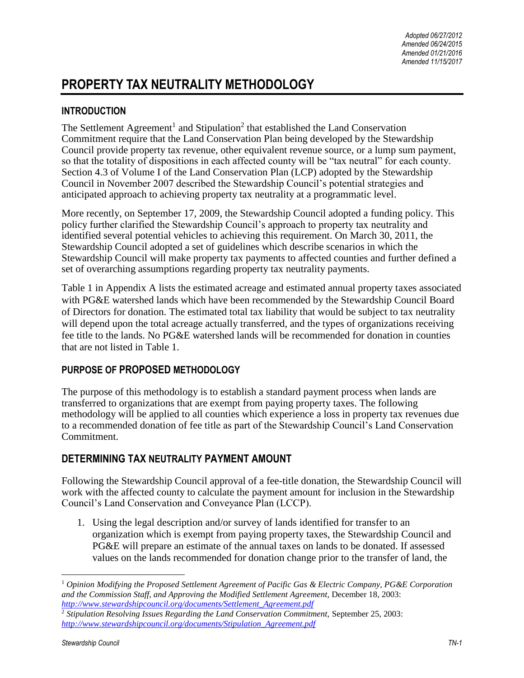# **PROPERTY TAX NEUTRALITY METHODOLOGY**

### **INTRODUCTION**

The Settlement Agreement<sup>1</sup> and Stipulation<sup>2</sup> that established the Land Conservation Commitment require that the Land Conservation Plan being developed by the Stewardship Council provide property tax revenue, other equivalent revenue source, or a lump sum payment, so that the totality of dispositions in each affected county will be "tax neutral" for each county. Section 4.3 of Volume I of the Land Conservation Plan (LCP) adopted by the Stewardship Council in November 2007 described the Stewardship Council's potential strategies and anticipated approach to achieving property tax neutrality at a programmatic level.

More recently, on September 17, 2009, the Stewardship Council adopted a funding policy. This policy further clarified the Stewardship Council's approach to property tax neutrality and identified several potential vehicles to achieving this requirement. On March 30, 2011, the Stewardship Council adopted a set of guidelines which describe scenarios in which the Stewardship Council will make property tax payments to affected counties and further defined a set of overarching assumptions regarding property tax neutrality payments.

Table 1 in Appendix A lists the estimated acreage and estimated annual property taxes associated with PG&E watershed lands which have been recommended by the Stewardship Council Board of Directors for donation. The estimated total tax liability that would be subject to tax neutrality will depend upon the total acreage actually transferred, and the types of organizations receiving fee title to the lands. No PG&E watershed lands will be recommended for donation in counties that are not listed in Table 1.

### **PURPOSE OF PROPOSED METHODOLOGY**

The purpose of this methodology is to establish a standard payment process when lands are transferred to organizations that are exempt from paying property taxes. The following methodology will be applied to all counties which experience a loss in property tax revenues due to a recommended donation of fee title as part of the Stewardship Council's Land Conservation Commitment.

## **DETERMINING TAX NEUTRALITY PAYMENT AMOUNT**

Following the Stewardship Council approval of a fee-title donation, the Stewardship Council will work with the affected county to calculate the payment amount for inclusion in the Stewardship Council's Land Conservation and Conveyance Plan (LCCP).

1. Using the legal description and/or survey of lands identified for transfer to an organization which is exempt from paying property taxes, the Stewardship Council and PG&E will prepare an estimate of the annual taxes on lands to be donated. If assessed values on the lands recommended for donation change prior to the transfer of land, the

 $\overline{a}$ 

<sup>1</sup> *Opinion Modifying the Proposed Settlement Agreement of Pacific Gas & Electric Company, PG&E Corporation and the Commission Staff, and Approving the Modified Settlement Agreement,* December 18, 2003: *[http://www.stewardshipcouncil.org/documents/Settlement\\_Agreement.pdf](http://www.stewardshipcouncil.org/documents/Settlement_Agreement.pdf)*

<sup>&</sup>lt;sup>2</sup> Stipulation Resolving Issues Regarding the Land Conservation Commitment, September 25, 2003: *[http://www.stewardshipcouncil.org/documents/Stipulation\\_Agreement.pdf](http://www.stewardshipcouncil.org/documents/Stipulation_Agreement.pdf)*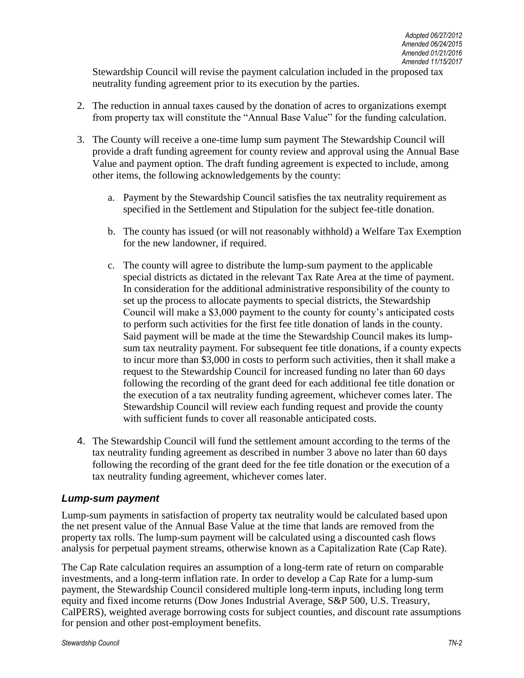Stewardship Council will revise the payment calculation included in the proposed tax neutrality funding agreement prior to its execution by the parties.

- 2. The reduction in annual taxes caused by the donation of acres to organizations exempt from property tax will constitute the "Annual Base Value" for the funding calculation.
- 3. The County will receive a one-time lump sum payment The Stewardship Council will provide a draft funding agreement for county review and approval using the Annual Base Value and payment option. The draft funding agreement is expected to include, among other items, the following acknowledgements by the county:
	- a. Payment by the Stewardship Council satisfies the tax neutrality requirement as specified in the Settlement and Stipulation for the subject fee-title donation.
	- b. The county has issued (or will not reasonably withhold) a Welfare Tax Exemption for the new landowner, if required.
	- c. The county will agree to distribute the lump-sum payment to the applicable special districts as dictated in the relevant Tax Rate Area at the time of payment. In consideration for the additional administrative responsibility of the county to set up the process to allocate payments to special districts, the Stewardship Council will make a \$3,000 payment to the county for county's anticipated costs to perform such activities for the first fee title donation of lands in the county. Said payment will be made at the time the Stewardship Council makes its lumpsum tax neutrality payment. For subsequent fee title donations, if a county expects to incur more than \$3,000 in costs to perform such activities, then it shall make a request to the Stewardship Council for increased funding no later than 60 days following the recording of the grant deed for each additional fee title donation or the execution of a tax neutrality funding agreement, whichever comes later. The Stewardship Council will review each funding request and provide the county with sufficient funds to cover all reasonable anticipated costs.
- 4. The Stewardship Council will fund the settlement amount according to the terms of the tax neutrality funding agreement as described in number 3 above no later than 60 days following the recording of the grant deed for the fee title donation or the execution of a tax neutrality funding agreement, whichever comes later.

### *Lump-sum payment*

Lump-sum payments in satisfaction of property tax neutrality would be calculated based upon the net present value of the Annual Base Value at the time that lands are removed from the property tax rolls. The lump-sum payment will be calculated using a discounted cash flows analysis for perpetual payment streams, otherwise known as a Capitalization Rate (Cap Rate).

The Cap Rate calculation requires an assumption of a long-term rate of return on comparable investments, and a long-term inflation rate. In order to develop a Cap Rate for a lump-sum payment, the Stewardship Council considered multiple long-term inputs, including long term equity and fixed income returns (Dow Jones Industrial Average, S&P 500, U.S. Treasury, CalPERS), weighted average borrowing costs for subject counties, and discount rate assumptions for pension and other post-employment benefits.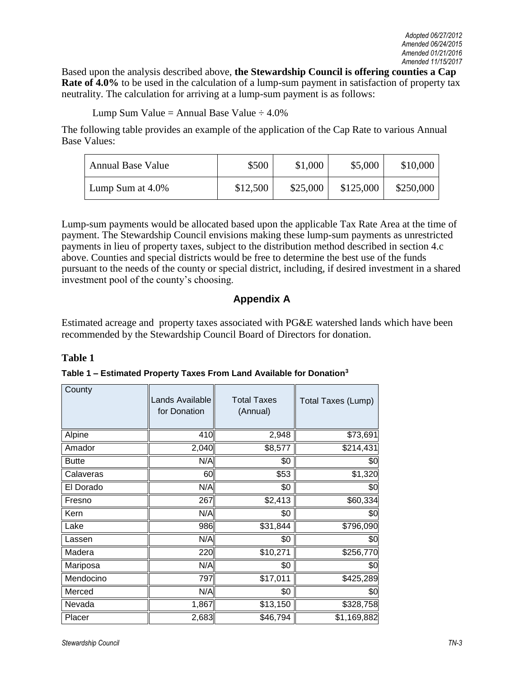Based upon the analysis described above, **the Stewardship Council is offering counties a Cap Rate of 4.0%** to be used in the calculation of a lump-sum payment in satisfaction of property tax neutrality. The calculation for arriving at a lump-sum payment is as follows:

Lump Sum Value = Annual Base Value  $\div 4.0\%$ 

The following table provides an example of the application of the Cap Rate to various Annual Base Values:

| <b>Annual Base Value</b> | \$500    | \$1,000  | \$5,000   | \$10,000  |
|--------------------------|----------|----------|-----------|-----------|
| Lump Sum at $4.0\%$      | \$12,500 | \$25,000 | \$125,000 | \$250,000 |

Lump-sum payments would be allocated based upon the applicable Tax Rate Area at the time of payment. The Stewardship Council envisions making these lump-sum payments as unrestricted payments in lieu of property taxes, subject to the distribution method described in section 4.c above. Counties and special districts would be free to determine the best use of the funds pursuant to the needs of the county or special district, including, if desired investment in a shared investment pool of the county's choosing.

## **Appendix A**

Estimated acreage and property taxes associated with PG&E watershed lands which have been recommended by the Stewardship Council Board of Directors for donation.

### **Table 1**

| Table 1 – Estimated Property Taxes From Land Available for Donation <sup>3</sup> |  |
|----------------------------------------------------------------------------------|--|
|                                                                                  |  |

| County       | Lands Available<br>for Donation | <b>Total Taxes</b><br>(Annual) | Total Taxes (Lump) |
|--------------|---------------------------------|--------------------------------|--------------------|
| Alpine       | 410                             | 2,948                          | \$73,691           |
| Amador       | 2,040                           | \$8,577                        | \$214,431          |
| <b>Butte</b> | N/A                             | \$0                            | \$0                |
| Calaveras    | 60                              | \$53                           | \$1,320            |
| El Dorado    | N/A                             | \$0                            | \$0                |
| Fresno       | 267                             | \$2,413                        | \$60,334           |
| Kern         | N/A                             | \$0                            | \$0                |
| Lake         | 986                             | \$31,844                       | \$796,090          |
| Lassen       | N/A                             | \$0                            | \$0                |
| Madera       | 220                             | \$10,271                       | \$256,770          |
| Mariposa     | N/A                             | \$0                            | \$0                |
| Mendocino    | 797                             | \$17,011                       | \$425,289          |
| Merced       | N/A                             | \$0                            | \$0                |
| Nevada       | 1,867                           | \$13,150                       | \$328,758          |
| Placer       | 2,683                           | \$46,794                       | \$1,169,882        |